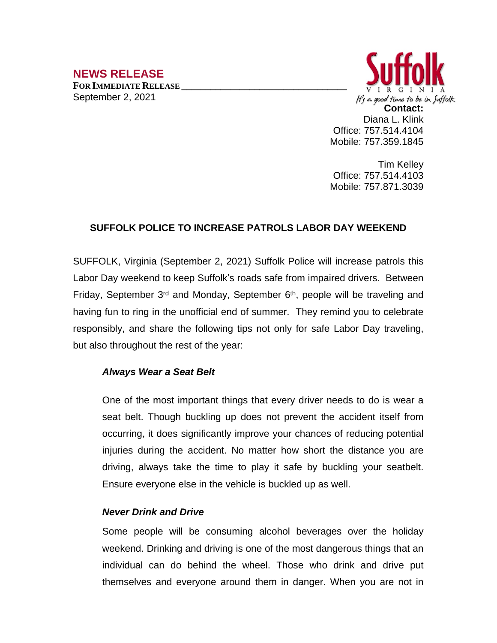# **NEWS RELEASE**

**FOR IMMEDIATE RELEASE \_\_\_\_\_\_\_\_\_\_\_\_\_\_\_\_\_\_\_\_\_\_\_\_\_\_\_\_\_\_\_\_\_\_** September 2, 2021



Tim Kelley Office: 757.514.4103 Mobile: 757.871.3039

# **SUFFOLK POLICE TO INCREASE PATROLS LABOR DAY WEEKEND**

SUFFOLK, Virginia (September 2, 2021) Suffolk Police will increase patrols this Labor Day weekend to keep Suffolk's roads safe from impaired drivers. Between Friday, September 3<sup>rd</sup> and Monday, September 6<sup>th</sup>, people will be traveling and having fun to ring in the unofficial end of summer. They remind you to celebrate responsibly, and share the following tips not only for safe Labor Day traveling, but also throughout the rest of the year:

## *Always Wear a Seat Belt*

One of the most important things that every driver needs to do is wear a seat belt. Though buckling up does not prevent the [accident](http://springersteinberg.com/personal-injury/car-accidents/) itself from occurring, it does significantly improve your chances of reducing potential injuries during the accident. No matter how short the distance you are driving, always take the time to play it safe by buckling your seatbelt. Ensure everyone else in the vehicle is buckled up as well.

#### *Never Drink and Drive*

Some people will be consuming alcohol beverages over the holiday weekend. Drinking and driving is one of the most dangerous things that an individual can do behind the wheel. Those who drink and drive put themselves and everyone around them in danger. When you are not in